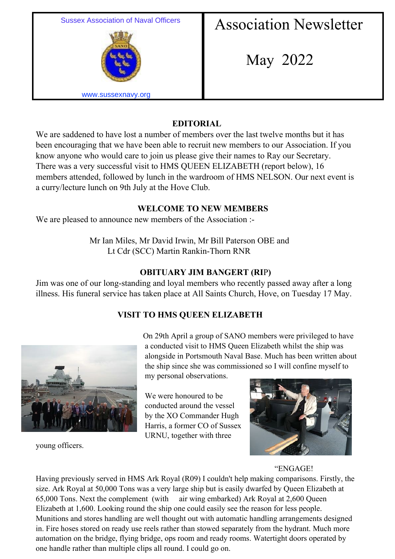

# **EDITORIAL**

We are saddened to have lost a number of members over the last twelve months but it has been encouraging that we have been able to recruit new members to our Association. If you know anyone who would care to join us please give their names to Ray our Secretary. There was a very successful visit to HMS QUEEN ELIZABETH (report below), 16 members attended, followed by lunch in the wardroom of HMS NELSON. Our next event is a curry/lecture lunch on 9th July at the Hove Club.

### **WELCOME TO NEW MEMBERS**

We are pleased to announce new members of the Association :-

 Mr Ian Miles, Mr David Irwin, Mr Bill Paterson OBE and Lt Cdr (SCC) Martin Rankin-Thorn RNR

### **OBITUARY JIM BANGERT (RI**P**)**

Jim was one of our long-standing and loyal members who recently passed away after a long illness. His funeral service has taken place at All Saints Church, Hove, on Tuesday 17 May.

## **VISIT TO HMS QUEEN ELIZABETH**



young officers.

On 29th April a group of SANO members were privileged to have a conducted visit to HMS Queen Elizabeth whilst the ship was alongside in Portsmouth Naval Base. Much has been written about the ship since she was commissioned so I will confine myself to

my personal observations.

We were honoured to be conducted around the vessel by the XO Commander Hugh Harris, a former CO of Sussex URNU, together with three



### "ENGAGE!

Having previously served in HMS Ark Royal (R09) I couldn't help making comparisons. Firstly, the size. Ark Royal at 50,000 Tons was a very large ship but is easily dwarfed by Queen Elizabeth at 65,000 Tons. Next the complement (with air wing embarked) Ark Royal at 2,600 Queen Elizabeth at 1,600. Looking round the ship one could easily see the reason for less people. Munitions and stores handling are well thought out with automatic handling arrangements designed in. Fire hoses stored on ready use reels rather than stowed separately from the hydrant. Much more automation on the bridge, flying bridge, ops room and ready rooms. Watertight doors operated by one handle rather than multiple clips all round. I could go on.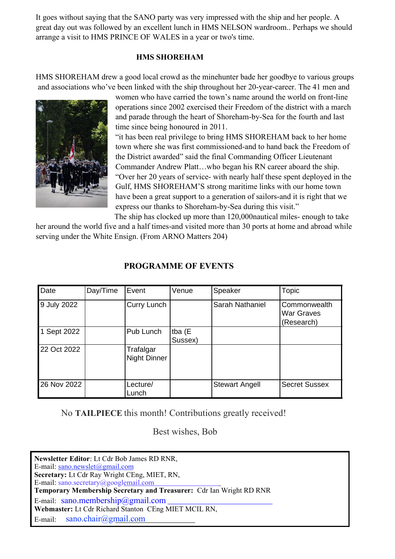It goes without saying that the SANO party was very impressed with the ship and her people. A great day out was followed by an excellent lunch in HMS NELSON wardroom.. Perhaps we should arrange a visit to HMS PRINCE OF WALES in a year or two's time.

#### **HMS SHOREHAM**

HMS SHOREHAM drew a good local crowd as the minehunter bade her goodbye to various groups and associations who've been linked with the ship throughout her 20-year-career. The 41 men and



women who have carried the town's name around the world on front-line operations since 2002 exercised their Freedom of the district with a march and parade through the heart of Shoreham-by-Sea for the fourth and last time since being honoured in 2011.

"it has been real privilege to bring HMS SHOREHAM back to her home town where she was first commissioned-and to hand back the Freedom of the District awarded" said the final Commanding Officer Lieutenant Commander Andrew Platt…who began his RN career aboard the ship. "Over her 20 years of service- with nearly half these spent deployed in the Gulf, HMS SHOREHAM'S strong maritime links with our home town have been a great support to a generation of sailors-and it is right that we express our thanks to Shoreham-by-Sea during this visit."

The ship has clocked up more than 120,000nautical miles- enough to take her around the world five and a half times-and visited more than 30 ports at home and abroad while serving under the White Ensign. (From ARNO Matters 204)

| Date        | Day/Time | Event                     | Venue             | Speaker               | <b>Topic</b>                                    |
|-------------|----------|---------------------------|-------------------|-----------------------|-------------------------------------------------|
| 9 July 2022 |          | Curry Lunch               |                   | Sarah Nathaniel       | Commonwealth<br><b>War Graves</b><br>(Research) |
| 1 Sept 2022 |          | Pub Lunch                 | tba (E<br>Sussex) |                       |                                                 |
| 22 Oct 2022 |          | Trafalgar<br>Night Dinner |                   |                       |                                                 |
| 26 Nov 2022 |          | Lecture/<br>Lunch         |                   | <b>Stewart Angell</b> | <b>Secret Sussex</b>                            |

### **PROGRAMME OF EVENTS**

No **TAILPIECE** this month! Contributions greatly received!

Best wishes, Bob

**Newsletter Editor**: Lt Cdr Bob James RD RNR, E-mail: sano.newslet@gmail.com **Secretary:** Lt Cdr Ray Wright CEng, MIET, RN, E-mail: sano.secretary@googlemail.com **Temporary Membership Secretary and Treasurer:** Cdr Ian Wright RD RNR E-mail: sano.membership@gmail.com **Webmaster:** Lt Cdr Richard Stanton CEng MIET MCIL RN, E-mail: sano.chair@gmail.com